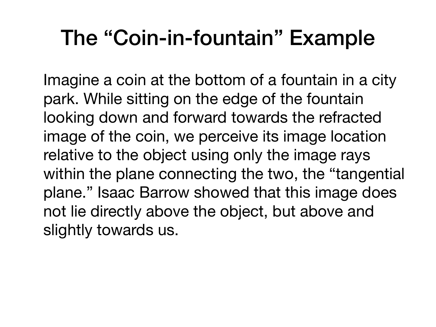## The "Coin-in-fountain" Example

Imagine a coin at the bottom of a fountain in a city park. While sitting on the edge of the fountain looking down and forward towards the refracted image of the coin, we perceive its image location relative to the object using only the image rays within the plane connecting the two, the "tangential plane." Isaac Barrow showed that this image does not lie directly above the object, but above and slightly towards us.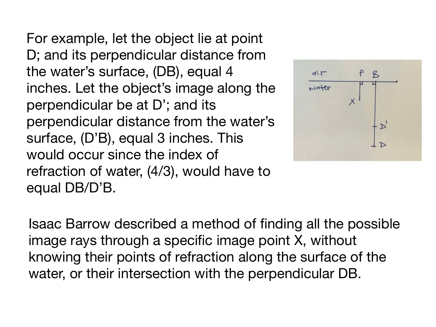For example, let the object lie at point D; and its perpendicular distance from the water's surface, (DB), equal 4 inches. Let the object's image along the perpendicular be at D'; and its perpendicular distance from the water's surface, (D'B), equal 3 inches. This would occur since the index of refraction of water, (4/3), would have to equal DB/D'B.



Isaac Barrow described a method of finding all the possible image rays through a specific image point X, without knowing their points of refraction along the surface of the water, or their intersection with the perpendicular DB.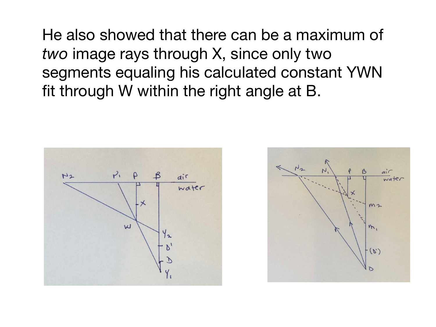He also showed that there can be a maximum of *two* image rays through X, since only two segments equaling his calculated constant YWN fit through W within the right angle at B.



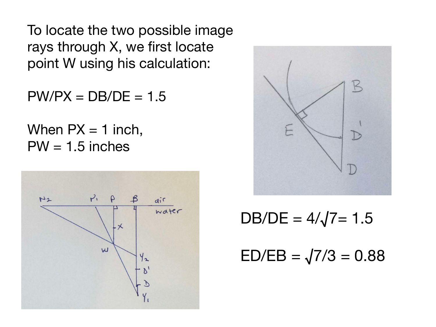To locate the two possible image rays through X, we first locate point W using his calculation:

 $PW/PX = DB/DE = 1.5$ 

When  $PX = 1$  inch,  $PW = 1.5$  inches





 $DB/DE = 4/\sqrt{7} = 1.5$ 

 $ED/EB = \sqrt{7/3} = 0.88$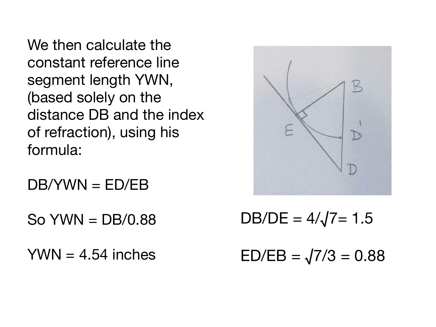We then calculate the constant reference line segment length YWN, (based solely on the distance DB and the index of refraction), using his formula:

DB/YWN = ED/EB

 $SO$  YWN = DB/0.88

 $YWN = 4.54$  inches



 $DB/DE = 4/\sqrt{7} = 1.5$ 

 $ED/EB = \sqrt{7/3} = 0.88$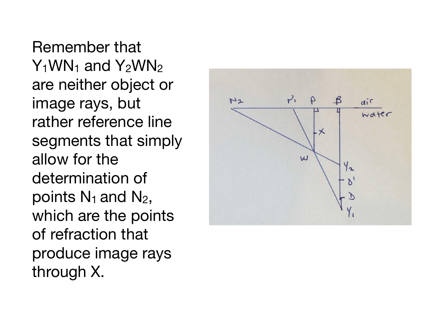Remember that  $Y_1$ WN<sub>1</sub> and  $Y_2$ WN<sub>2</sub> are neither object or image rays, but rather reference line segments that simply allow for the determination of points  $N_1$  and  $N_2$ , which are the points of refraction that produce image rays through X.

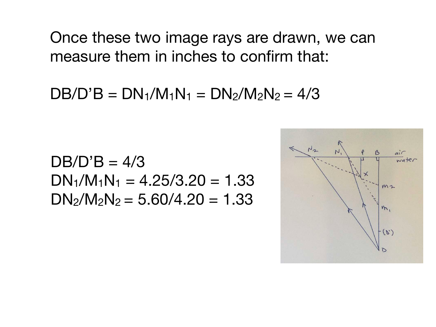Once these two image rays are drawn, we can measure them in inches to confirm that:

 $DB/D'B = DN_1/M_1N_1 = DN_2/M_2N_2 = 4/3$ 

 $DB/D'B = 4/3$  $DN_1/M_1N_1 = 4.25/3.20 = 1.33$  $DN_2/N_2N_2 = 5.60/4.20 = 1.33$ 

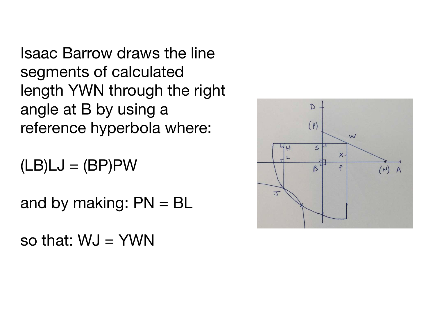Isaac Barrow draws the line segments of calculated length YWN through the right angle at B by using a reference hyperbola where:

 $(LB)LJ = (BP)PW$ 

and by making:  $PN = BL$ 

so that:  $WJ = YWN$